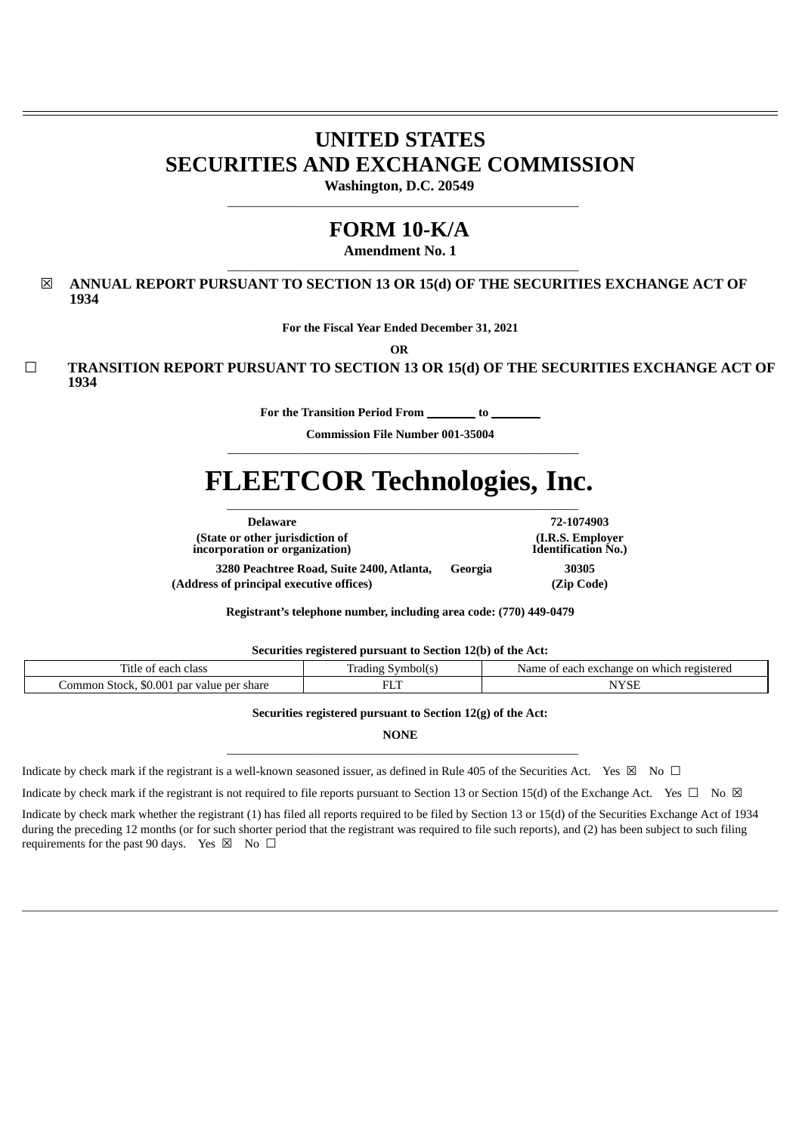# **UNITED STATES SECURITIES AND EXCHANGE COMMISSION Washington, D.C. 20549**

\_\_\_\_\_\_\_\_\_\_\_\_\_\_\_\_\_\_\_\_\_\_\_\_\_\_\_\_\_\_\_\_\_\_\_\_\_\_\_\_\_\_\_\_\_\_\_\_\_\_\_\_\_\_\_\_\_\_

# **FORM 10-K/A**

**Amendment No. 1** \_\_\_\_\_\_\_\_\_\_\_\_\_\_\_\_\_\_\_\_\_\_\_\_\_\_\_\_\_\_\_\_\_\_\_\_\_\_\_\_\_\_\_\_\_\_\_\_\_\_\_\_\_\_\_\_\_\_

### ☒ **ANNUAL REPORT PURSUANT TO SECTION 13 OR 15(d) OF THE SECURITIES EXCHANGE ACT OF 1934**

**For the Fiscal Year Ended December 31, 2021**

**OR**

☐ **TRANSITION REPORT PURSUANT TO SECTION 13 OR 15(d) OF THE SECURITIES EXCHANGE ACT OF 1934**

**For the Transition Period From to**

**Commission File Number 001-35004** \_\_\_\_\_\_\_\_\_\_\_\_\_\_\_\_\_\_\_\_\_\_\_\_\_\_\_\_\_\_\_\_\_\_\_\_\_\_\_\_\_\_\_\_\_\_\_\_\_\_\_\_\_\_\_\_\_\_

# **FLEETCOR Technologies, Inc.** \_\_\_\_\_\_\_\_\_\_\_\_\_\_\_\_\_\_\_\_\_\_\_\_\_\_\_\_\_\_\_\_\_\_\_\_\_\_\_\_\_\_\_\_\_\_\_\_\_\_\_\_\_\_\_\_\_\_

**Delaware 72-1074903 (State or other jurisdiction of incorporation or organization) 3280 Peachtree Road, Suite 2400, Atlanta, Georgia 30305 (Address of principal executive offices) (Zip Code)**

**(I.R.S. Employer Identification No.)**

**Registrant's telephone number, including area code: (770) 449-0479**

**Securities registered pursuant to Section 12(b) of the Act:**

|                                                                          | -                            |                                                                                                    |
|--------------------------------------------------------------------------|------------------------------|----------------------------------------------------------------------------------------------------|
| each<br>alocc<br>. itle<br>CidSS                                         | $\sim$<br><br>.wm<br>Tradıng | registered<br>Name<br>on<br>'hange<br>, whic'<br>00 C P<br>$\alpha v$<br>ΩŤ<br>−u<br>$\mathcal{L}$ |
| \$0.001<br>. par value per :<br>. .ommon<br><sup>.</sup> share<br>Stock. | THE CHA<br>பப                | <b>ATTICT</b><br>$\sim$ $\sim$ $\sim$<br>⊔ت ⊥ا                                                     |

**Securities registered pursuant to Section 12(g) of the Act:**

**NONE** \_\_\_\_\_\_\_\_\_\_\_\_\_\_\_\_\_\_\_\_\_\_\_\_\_\_\_\_\_\_\_\_\_\_\_\_\_\_\_\_\_\_\_\_\_\_\_\_\_\_\_\_\_\_\_\_\_\_

Indicate by check mark if the registrant is a well-known seasoned issuer, as defined in Rule 405 of the Securities Act. Yes  $\boxtimes$  No  $\Box$ 

Indicate by check mark if the registrant is not required to file reports pursuant to Section 13 or Section 15(d) of the Exchange Act. Yes  $\Box$  No  $\boxtimes$ 

Indicate by check mark whether the registrant (1) has filed all reports required to be filed by Section 13 or 15(d) of the Securities Exchange Act of 1934 during the preceding 12 months (or for such shorter period that the registrant was required to file such reports), and (2) has been subject to such filing requirements for the past 90 days. Yes  $\boxtimes$  No  $\Box$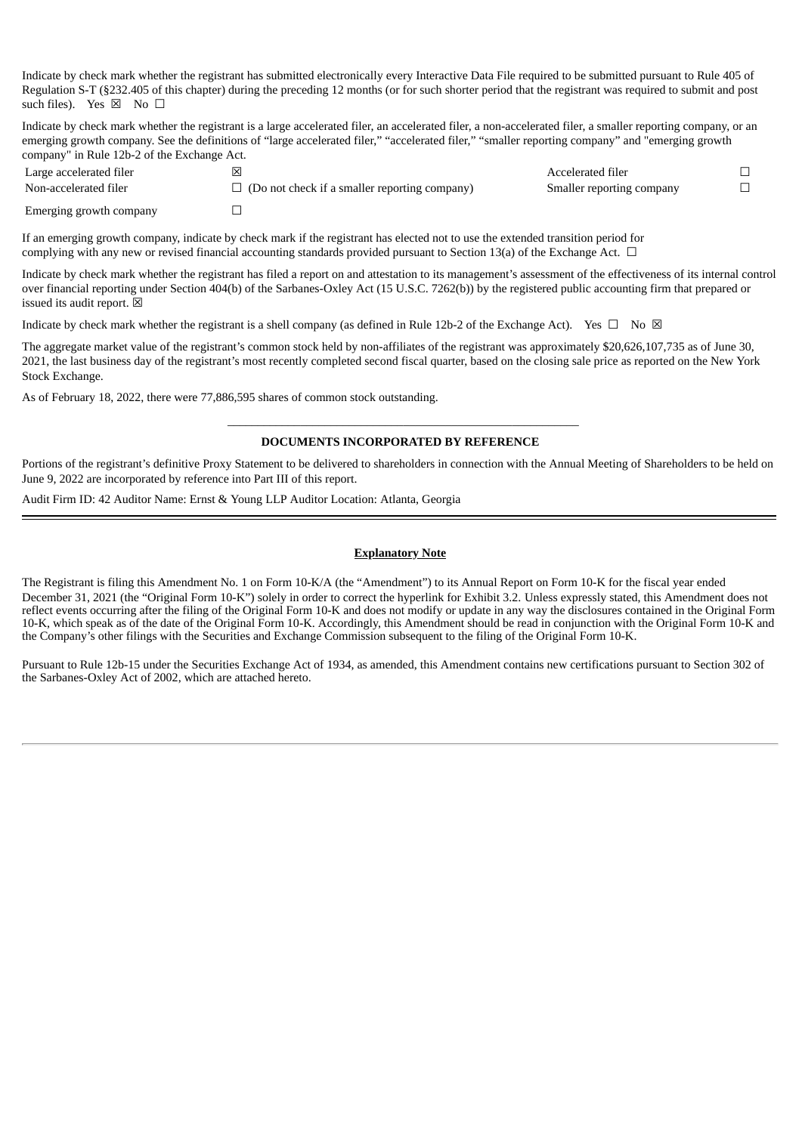Indicate by check mark whether the registrant has submitted electronically every Interactive Data File required to be submitted pursuant to Rule 405 of Regulation S-T (§232.405 of this chapter) during the preceding 12 months (or for such shorter period that the registrant was required to submit and post such files). Yes  $\boxtimes$  No  $\square$ 

Indicate by check mark whether the registrant is a large accelerated filer, an accelerated filer, a non-accelerated filer, a smaller reporting company, or an emerging growth company. See the definitions of "large accelerated filer," "accelerated filer," "smaller reporting company" and "emerging growth company" in Rule 12b-2 of the Exchange Act.

| Large accelerated filer | ΙXΙ                                                  | Accelerated filer         |  |
|-------------------------|------------------------------------------------------|---------------------------|--|
| Non-accelerated filer   | $\Box$ (Do not check if a smaller reporting company) | Smaller reporting company |  |
| Emerging growth company |                                                      |                           |  |

If an emerging growth company, indicate by check mark if the registrant has elected not to use the extended transition period for complying with any new or revised financial accounting standards provided pursuant to Section 13(a) of the Exchange Act.  $\Box$ 

Indicate by check mark whether the registrant has filed a report on and attestation to its management's assessment of the effectiveness of its internal control over financial reporting under Section 404(b) of the Sarbanes-Oxley Act (15 U.S.C. 7262(b)) by the registered public accounting firm that prepared or issued its audit report.  $\boxtimes$ 

Indicate by check mark whether the registrant is a shell company (as defined in Rule 12b-2 of the Exchange Act). Yes  $\Box$  No  $\boxtimes$ 

The aggregate market value of the registrant's common stock held by non-affiliates of the registrant was approximately \$20,626,107,735 as of June 30, 2021, the last business day of the registrant's most recently completed second fiscal quarter, based on the closing sale price as reported on the New York Stock Exchange.

As of February 18, 2022, there were 77,886,595 shares of common stock outstanding.

## \_\_\_\_\_\_\_\_\_\_\_\_\_\_\_\_\_\_\_\_\_\_\_\_\_\_\_\_\_\_\_\_\_\_\_\_\_\_\_\_\_\_\_\_\_\_\_\_\_\_\_\_\_\_\_\_\_\_ **DOCUMENTS INCORPORATED BY REFERENCE**

Portions of the registrant's definitive Proxy Statement to be delivered to shareholders in connection with the Annual Meeting of Shareholders to be held on June 9, 2022 are incorporated by reference into Part III of this report.

Audit Firm ID: 42 Auditor Name: Ernst & Young LLP Auditor Location: Atlanta, Georgia

### **Explanatory Note**

The Registrant is filing this Amendment No. 1 on Form 10-K/A (the "Amendment") to its Annual Report on Form 10-K for the fiscal year ended December 31, 2021 (the "Original Form 10-K") solely in order to correct the hyperlink for Exhibit 3.2. Unless expressly stated, this Amendment does not reflect events occurring after the filing of the Original Form 10-K and does not modify or update in any way the disclosures contained in the Original Form 10-K, which speak as of the date of the Original Form 10-K. Accordingly, this Amendment should be read in conjunction with the Original Form 10-K and the Company's other filings with the Securities and Exchange Commission subsequent to the filing of the Original Form 10-K.

Pursuant to Rule 12b-15 under the Securities Exchange Act of 1934, as amended, this Amendment contains new certifications pursuant to Section 302 of the Sarbanes-Oxley Act of 2002, which are attached hereto.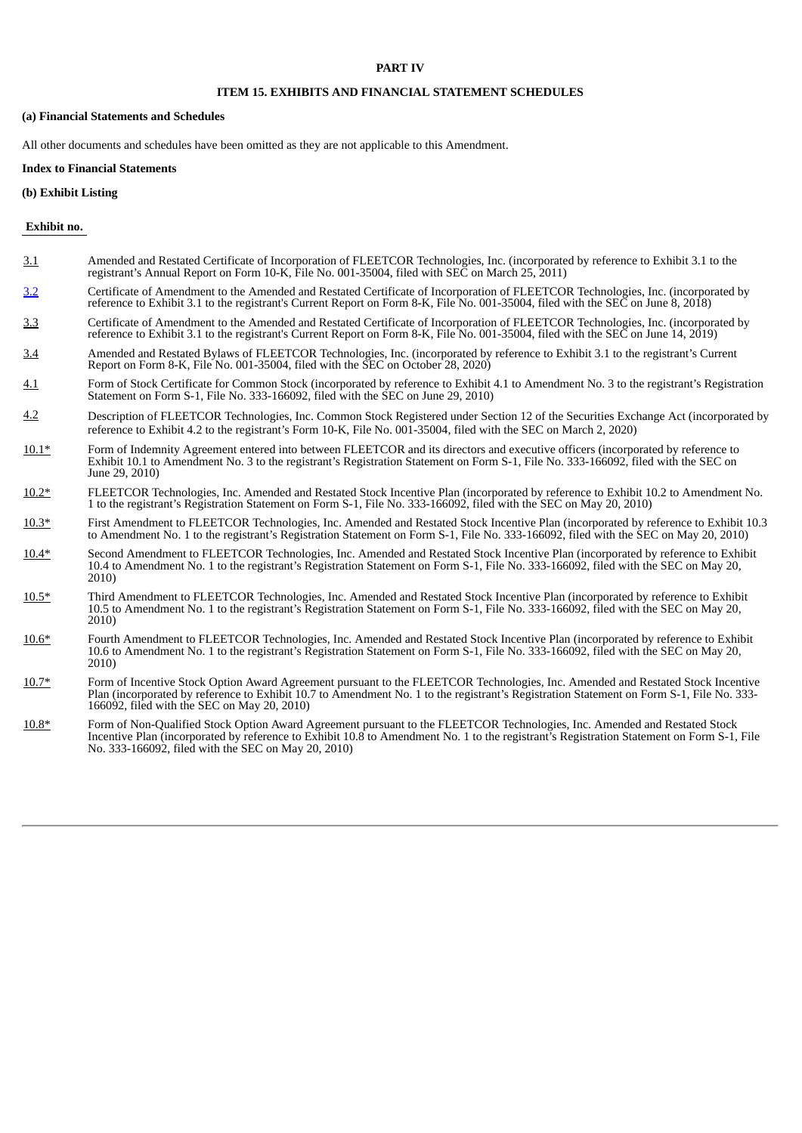### **PART IV**

#### **ITEM 15. EXHIBITS AND FINANCIAL STATEMENT SCHEDULES**

#### **(a) Financial Statements and Schedules**

All other documents and schedules have been omitted as they are not applicable to this Amendment.

#### **Index to Financial Statements**

#### **(b) Exhibit Listing**

#### **Exhibit no.**

- [3.1](http://www.sec.gov/Archives/edgar/data/1175454/000119312511078175/dex31.htm) Amended and Restated Certificate of Incorporation of FLEETCOR Technologies, Inc. (incorporated by reference to Exhibit 3.1 to the registrant's Annual Report on Form 10-K, File No. 001-35004, filed with SEC on March 25, 2011)
- [3.2](http://www.sec.gov/Archives/edgar/data/0001175454/000129993318000489/exhibit1.htm) Certificate of Amendment to the Amended and Restated Certificate of Incorporation of FLEETCOR Technologies, Inc. (incorporated by reference to Exhibit 3.1 to the registrant's Current Report on Form 8-K, File No. 001-35004, filed with the SEC on June 8, 2018)
- [3.3](http://www.sec.gov/Archives/edgar/data/1175454/000117545419000020/ex3120190614certificateofa.htm) Certificate of Amendment to the Amended and Restated Certificate of Incorporation of FLEETCOR Technologies, Inc. (incorporated by reference to Exhibit 3.1 to the registrant's Current Report on Form 8-K, File No. 001-35004, filed with the SEC on June 14, 2019)
- [3.4](http://www.sec.gov/Archives/edgar/data/1175454/000129993318000095/exhibit1.htm) Amended and Restated Bylaws of FLEETCOR Technologies, Inc. (incorporated by reference to Exhibit 3.1 to the registrant's Current Report on Form 8-K, File No. 001-35004, filed with the SEC on October 28, 2020)
- [4.1](http://www.sec.gov/Archives/edgar/data/1175454/000119312510149947/dex41.htm) Form of Stock Certificate for Common Stock (incorporated by reference to Exhibit 4.1 to Amendment No. 3 to the registrant's Registration Statement on Form S-1, File No. 333-166092, filed with the SEC on June 29, 2010)
- [4.2](http://www.sec.gov/Archives/edgar/data/1175454/000117545420000008/descriptionoffleetcort.htm) Description of FLEETCOR Technologies, Inc. Common Stock Registered under Section 12 of the Securities Exchange Act (incorporated by reference to Exhibit 4.2 to the registrant's Form 10-K, File No. 001-35004, filed with the SEC on March 2, 2020)
- [10.1\\*](http://www.sec.gov/Archives/edgar/data/1175454/000119312510149947/dex101.htm) Form of Indemnity Agreement entered into between FLEETCOR and its directors and executive officers (incorporated by reference to Exhibit 10.1 to Amendment No. 3 to the registrant's Registration Statement on Form S-1, File No. 333-166092, filed with the SEC on June 29, 2010)
- [10.2\\*](http://www.sec.gov/Archives/edgar/data/1175454/000119312510124434/dex102.htm) FLEETCOR Technologies, Inc. Amended and Restated Stock Incentive Plan (incorporated by reference to Exhibit 10.2 to Amendment No. 1 to the registrant's Registration Statement on Form S-1, File No. 333-166092, filed with the SEC on May 20, 2010)
- [10.3\\*](http://www.sec.gov/Archives/edgar/data/1175454/000119312510124434/dex103.htm) First Amendment to FLEETCOR Technologies, Inc. Amended and Restated Stock Incentive Plan (incorporated by reference to Exhibit 10.3 to Amendment No. 1 to the registrant's Registration Statement on Form S-1, File No. 333-166092, filed with the SEC on May 20, 2010)
- [10.4\\*](http://www.sec.gov/Archives/edgar/data/1175454/000119312510124434/dex104.htm) Second Amendment to FLEETCOR Technologies, Inc. Amended and Restated Stock Incentive Plan (incorporated by reference to Exhibit 10.4 to Amendment No. 1 to the registrant's Registration Statement on Form S-1, File No. 333-166092, filed with the SEC on May 20, 2010)
- [10.5\\*](http://www.sec.gov/Archives/edgar/data/1175454/000119312510124434/dex105.htm) Third Amendment to FLEETCOR Technologies, Inc. Amended and Restated Stock Incentive Plan (incorporated by reference to Exhibit 10.5 to Amendment No. 1 to the registrant's Registration Statement on Form S-1, File No. 333-166092, filed with the SEC on May 20, 2010)
- [10.6\\*](http://www.sec.gov/Archives/edgar/data/1175454/000119312510124434/dex106.htm) Fourth Amendment to FLEETCOR Technologies, Inc. Amended and Restated Stock Incentive Plan (incorporated by reference to Exhibit 10.6 to Amendment No. 1 to the registrant's Registration Statement on Form S-1, File No. 333-166092, filed with the SEC on May 20, 2010)
- [10.7\\*](http://www.sec.gov/Archives/edgar/data/1175454/000119312510124434/dex107.htm) Form of Incentive Stock Option Award Agreement pursuant to the FLEETCOR Technologies, Inc. Amended and Restated Stock Incentive Plan (incorporated by reference to Exhibit 10.7 to Amendment No. 1 to the registrant's Registration Statement on Form S-1, File No. 333- 166092, filed with the SEC on May 20, 2010)
- [10.8\\*](http://www.sec.gov/Archives/edgar/data/1175454/000119312510124434/dex108.htm) Form of Non-Qualified Stock Option Award Agreement pursuant to the FLEETCOR Technologies, Inc. Amended and Restated Stock Incentive Plan (incorporated by reference to Exhibit 10.8 to Amendment No. 1 to the registrant's Registration Statement on Form S-1, File No. 333-166092, filed with the SEC on May 20, 2010)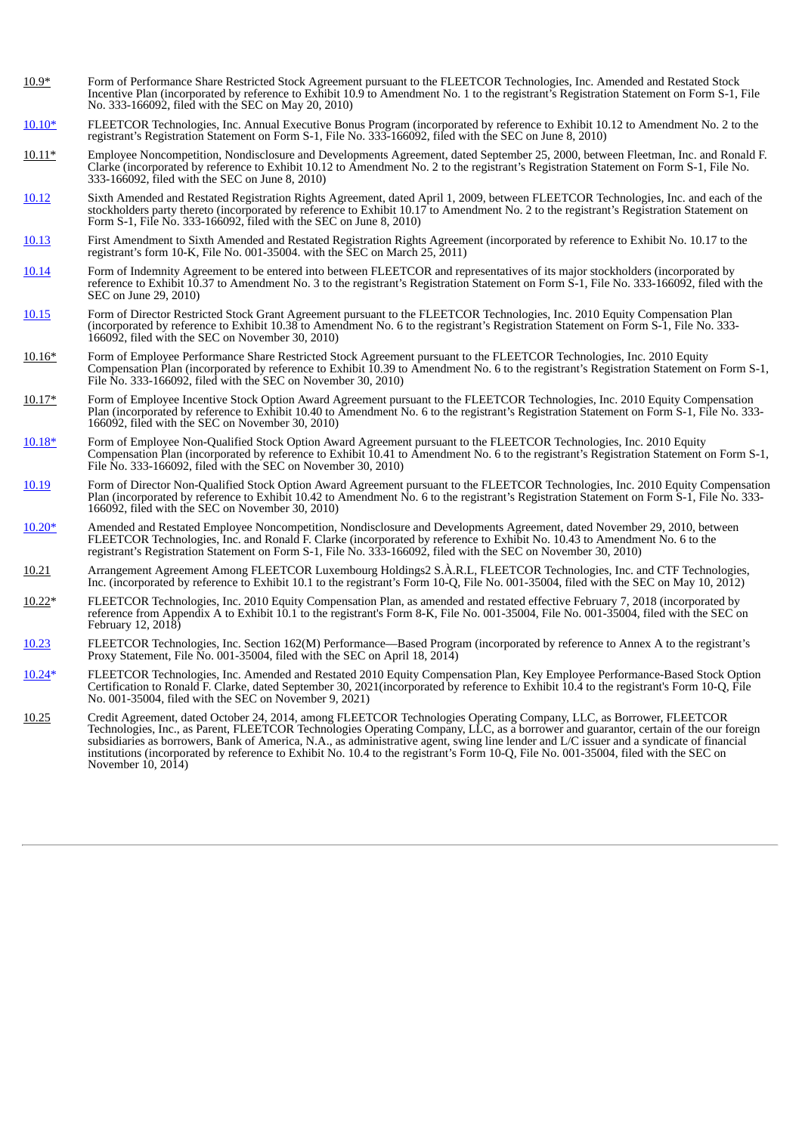- [10.9\\*](http://www.sec.gov/Archives/edgar/data/1175454/000119312510124434/dex109.htm) Form of Performance Share Restricted Stock Agreement pursuant to the FLEETCOR Technologies, Inc. Amended and Restated Stock Incentive Plan (incorporated by reference to Exhibit 10.9 to Amendment No. 1 to the registrant's Registration Statement on Form S-1, File No. 333-166092, filed with the SEC on May 20, 2010)
- [10.10\\*](http://www.sec.gov/Archives/edgar/data/1175454/000119312510134183/dex1011.htm) FLEETCOR Technologies, Inc. Annual Executive Bonus Program (incorporated by reference to Exhibit 10.12 to Amendment No. 2 to the registrant's Registration Statement on Form S-1, File No. 333-166092, filed with the SEC on June 8, 2010)
- [10.11\\*](http://www.sec.gov/Archives/edgar/data/1175454/000119312510134183/dex1012.htm) Employee Noncompetition, Nondisclosure and Developments Agreement, dated September 25, 2000, between Fleetman, Inc. and Ronald F. Clarke (incorporated by reference to Exhibit 10.12 to Amendment No. 2 to the registrant's Registration Statement on Form S-1, File No. 333-166092, filed with the SEC on June 8, 2010)
- [10.12](http://www.sec.gov/Archives/edgar/data/1175454/000119312510134183/dex1017.htm) Sixth Amended and Restated Registration Rights Agreement, dated April 1, 2009, between FLEETCOR Technologies, Inc. and each of the stockholders party thereto (incorporated by reference to Exhibit 10.17 to Amendment No. 2 to the registrant's Registration Statement on Form S-1, File No. 333-166092, filed with the SEC on June 8, 2010)
- [10.13](http://www.sec.gov/Archives/edgar/data/1175454/000119312511078175/dex1017.htm) First Amendment to Sixth Amended and Restated Registration Rights Agreement (incorporated by reference to Exhibit No. 10.17 to the registrant's form 10-K, File No. 001-35004. with the SEC on March 25, 2011)
- [10.14](http://www.sec.gov/Archives/edgar/data/1175454/000119312510149947/dex1037.htm) Form of Indemnity Agreement to be entered into between FLEETCOR and representatives of its major stockholders (incorporated by reference to Exhibit 10.37 to Amendment No. 3 to the registrant's Registration Statement on Form S-1, File No. 333-166092, filed with the SEC on June 29, 2010)
- [10.15](http://www.sec.gov/Archives/edgar/data/1175454/000119312510271283/dex1038.htm) Form of Director Restricted Stock Grant Agreement pursuant to the FLEETCOR Technologies, Inc. 2010 Equity Compensation Plan (incorporated by reference to Exhibit 10.38 to Amendment No. 6 to the registrant's Registration Statement on Form S-1, File No. 333- 166092, filed with the SEC on November 30, 2010)
- [10.16\\*](http://www.sec.gov/Archives/edgar/data/1175454/000119312510271283/dex1039.htm) Form of Employee Performance Share Restricted Stock Agreement pursuant to the FLEETCOR Technologies, Inc. 2010 Equity Compensation Plan (incorporated by reference to Exhibit 10.39 to Amendment No. 6 to the registrant's Registration Statement on Form S-1, File No. 333-166092, filed with the SEC on November 30, 2010)
- $10.17*$  Form of Employee Incentive Stock Option Award Agreement pursuant to the FLEETCOR Technologies, Inc. 2010 Equity Compensation Plan (incorporated by reference to Exhibit 10.40 to Amendment No. 6 to the registrant's Registration Statement on Form S-1, File No. 333- 166092, filed with the SEC on November 30, 2010)
- 10.18<sup>\*</sup> Form of Employee Non-Qualified Stock Option Award Agreement pursuant to the FLEETCOR Technologies, Inc. 2010 Equity Compensation Plan (incorporated by reference to Exhibit 10.41 to Amendment No. 6 to the registrant's Registration Statement on Form S-1, File No. 333-166092, filed with the SEC on November 30, 2010)
- [10.19](http://www.sec.gov/Archives/edgar/data/1175454/000119312510271283/dex1042.htm) Form of Director Non-Qualified Stock Option Award Agreement pursuant to the FLEETCOR Technologies, Inc. 2010 Equity Compensation Plan (incorporated by reference to Exhibit 10.42 to Amendment No. 6 to the registrant's Registration Statement on Form S-1, File No. 333- 166092, filed with the SEC on November 30, 2010)
- [10.20\\*](http://www.sec.gov/Archives/edgar/data/1175454/000119312510271283/dex1043.htm) Amended and Restated Employee Noncompetition, Nondisclosure and Developments Agreement, dated November 29, 2010, between FLEETCOR Technologies, Inc. and Ronald F. Clarke (incorporated by reference to Exhibit No. 10.43 to Amendment No. 6 to the registrant's Registration Statement on Form S-1, File No. 333-166092, filed with the SEC on November 30, 2010)
- [10.21](http://www.sec.gov/Archives/edgar/data/1175454/000119312512225964/d330922dex101.htm) Arrangement Agreement Among FLEETCOR Luxembourg Holdings2 S.À.R.L, FLEETCOR Technologies, Inc. and CTF Technologies, Inc. (incorporated by reference to Exhibit 10.1 to the registrant's Form 10-Q, File No. 001-35004, filed with the SEC on May 10, 2012)
- [10.22](http://www.sec.gov/Archives/edgar/data/1175454/000129993318000137/exhibit1.htm)\* FLEETCOR Technologies, Inc. 2010 Equity Compensation Plan, as amended and restated effective February 7, 2018 (incorporated by reference from Appendix A to Exhibit 10.1 to the registrant's Form 8-K, File No. 001-35004, File No. 001-35004, filed with the SEC on February 12, 2018)
- [10.23](http://www.sec.gov/Archives/edgar/data/1175454/000119312514147981/d634148ddef14a.htm#toc634148_19) FLEETCOR Technologies, Inc. Section 162(M) Performance—Based Program (incorporated by reference to Annex A to the registrant's Proxy Statement, File No. 001-35004, filed with the SEC on April 18, 2014)
- [10.24\\*](https://www.sec.gov/Archives/edgar/data/1175454/000117545421000047/exh104.htm) FLEETCOR Technologies, Inc. Amended and Restated 2010 Equity Compensation Plan, Key Employee Performance-Based Stock Option Certification to Ronald F. Clarke, dated September 30, 2021(incorporated by reference to Exhibit 10.4 to the registrant's Form 10-Q, File No. 001-35004, filed with the SEC on November 9, 2021)
- [10.25](http://www.sec.gov/Archives/edgar/data/1175454/000119312514406270/d783602dex104.htm) Credit Agreement, dated October 24, 2014, among FLEETCOR Technologies Operating Company, LLC, as Borrower, FLEETCOR Technologies, Inc., as Parent, FLEETCOR Technologies Operating Company, LLC, as a borrower and guarantor, certain of the our foreign subsidiaries as borrowers, Bank of America, N.A., as administrative agent, swing line lender and L/C issuer and a syndicate of financial institutions (incorporated by reference to Exhibit No. 10.4 to the registrant's Form 10-Q, File No. 001-35004, filed with the SEC on November 10, 2014)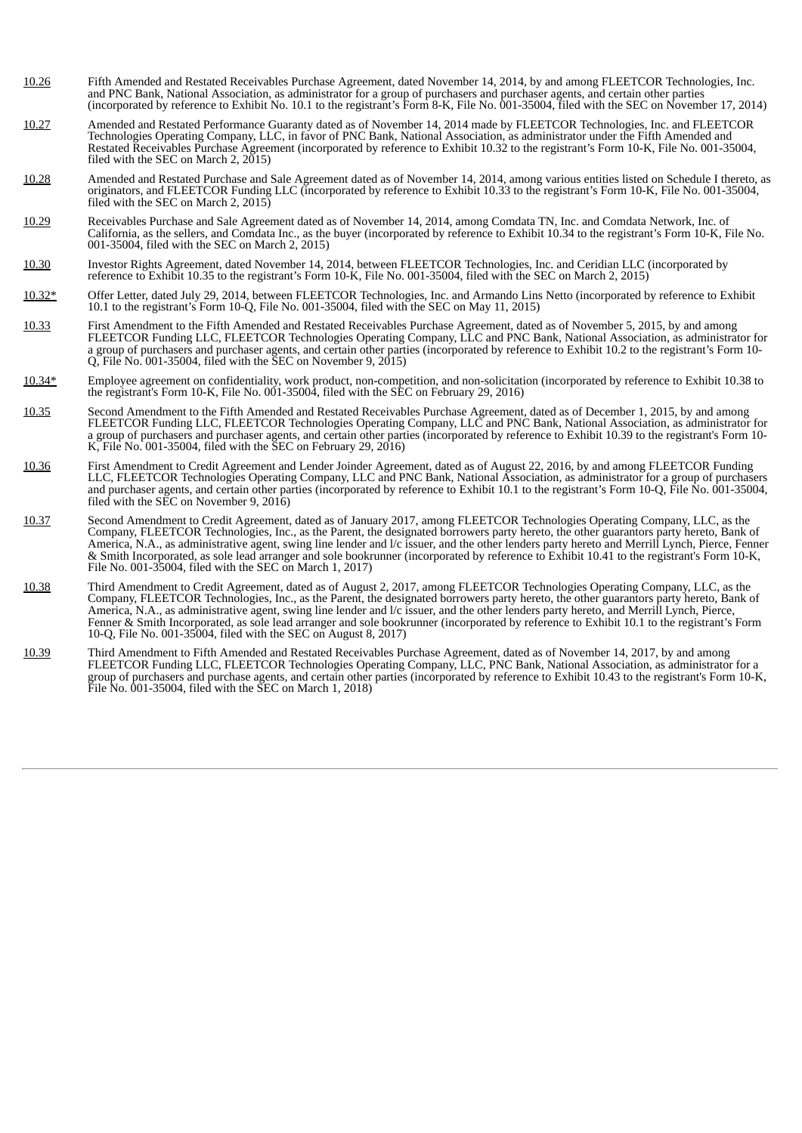- [10.26](http://www.sec.gov/Archives/edgar/data/1175454/000119312514414305/d822326dex101.htm) Fifth Amended and Restated Receivables Purchase Agreement, dated November 14, 2014, by and among FLEETCOR Technologies, Inc. and PNC Bank, National Association, as administrator for a group of purchasers and purchaser agents, and certain other parties (incorporated by reference to Exhibit No. 10.1 to the registrant's Form 8-K, File No. 001-35004, filed with the SEC on November 17, 2014)
- [10.27](http://www.sec.gov/Archives/edgar/data/1175454/000119312515073581/d831300dex1032.htm) Amended and Restated Performance Guaranty dated as of November 14, 2014 made by FLEETCOR Technologies, Inc. and FLEETCOR Technologies Operating Company, LLC, in favor of PNC Bank, National Association, as administrator under the Fifth Amended and Restated Receivables Purchase Agreement (incorporated by reference to Exhibit 10.32 to the registrant's Form 10-K, File No. 001-35004, filed with the SEC on March 2,  $2015$ )
- [10.28](http://www.sec.gov/Archives/edgar/data/1175454/000119312515073581/d831300dex1033.htm) Amended and Restated Purchase and Sale Agreement dated as of November 14, 2014, among various entities listed on Schedule I thereto, as originators, and FLEETCOR Funding LLC (incorporated by reference to Exhibit 10.33 to the registrant's Form 10-K, File No. 001-35004, filed with the SEC on March 2, 2015)
- [10.29](http://www.sec.gov/Archives/edgar/data/1175454/000119312515073581/d831300dex1034.htm) Receivables Purchase and Sale Agreement dated as of November 14, 2014, among Comdata TN, Inc. and Comdata Network, Inc. of California, as the sellers, and Comdata Inc., as the buyer (incorporated by reference to Exhibit 10.34 to the registrant's Form 10-K, File No. 001-35004, filed with the SEC on March 2, 2015)
- [10.30](http://www.sec.gov/Archives/edgar/data/1175454/000119312515073581/d831300dex1035.htm) Investor Rights Agreement, dated November 14, 2014, between FLEETCOR Technologies, Inc. and Ceridian LLC (incorporated by reference to Exhibit 10.35 to the registrant's Form 10-K, File No. 001-35004, filed with the SEC on March 2, 2015)
- 10.32<sup>\*</sup> Offer Letter, dated July 29, 2014, between FLEETCOR Technologies, Inc. and Armando Lins Netto (incorporated by reference to Exhibit 10.1 to the registrant's Form 10-Q, File No. 001-35004, filed with the SEC on May 11, 2015)
- [10.33](http://www.sec.gov/Archives/edgar/data/1175454/000119312515372089/d34595dex102.htm) First Amendment to the Fifth Amended and Restated Receivables Purchase Agreement, dated as of November 5, 2015, by and among FLEETCOR Funding LLC, FLEETCOR Technologies Operating Company, LLC and PNC Bank, National Association, as administrator for a group of purchasers and purchaser agents, and certain other parties (incorporated by reference to Exhibit 10.2 to the registrant's Form 10- Q, File No. 001-35004, filed with the SEC on November 9, 2015)
- [10.34\\*](http://www.sec.gov/Archives/edgar/data/1175454/000119312516485752/d18451dex1038.htm) Employee agreement on confidentiality, work product, non-competition, and non-solicitation (incorporated by reference to Exhibit 10.38 to the registrant's Form 10-K, File No. 001-35004, filed with the SEC on February 29, 2016)
- [10.35](http://www.sec.gov/Archives/edgar/data/1175454/000119312516485752/d18451dex1039.htm) Second Amendment to the Fifth Amended and Restated Receivables Purchase Agreement, dated as of December 1, 2015, by and among FLEETCOR Funding LLC, FLEETCOR Technologies Operating Company, LLC and PNC Bank, National Association, as administrator for a group of purchasers and purchaser agents, and certain other parties (incorporated by reference to Exhibit 10.39 to the registrant's Form 10- K, File No. 001-35004, filed with the SEC on February 29, 2016)
- [10.36](http://www.sec.gov/Archives/edgar/data/1175454/000117545416000015/ex101firstamendmenttocredi.htm) First Amendment to Credit Agreement and Lender Joinder Agreement, dated as of August 22, 2016, by and among FLEETCOR Funding LLC, FLEETCOR Technologies Operating Company, LLC and PNC Bank, National Association, as administrator for a group of purchasers and purchaser agents, and certain other parties (incorporated by reference to Exhibit 10.1 to the registrant's Form 10-Q, File No. 001-35004, filed with the SEC on November 9, 2016)
- [10.37](http://www.sec.gov/Archives/edgar/data/1175454/000117545417000005/ex1041.htm) Second Amendment to Credit Agreement, dated as of January 2017, among FLEETCOR Technologies Operating Company, LLC, as the Company, FLEETCOR Technologies, Inc., as the Parent, the designated borrowers party hereto, the other guarantors party hereto, Bank of America, N.A., as administrative agent, swing line lender and l/c issuer, and the other lenders party hereto and Merrill Lynch, Pierce, Fenner & Smith Incorporated, as sole lead arranger and sole bookrunner (incorporated by reference to Exhibit 10.41 to the registrant's Form 10-K, File No. 001-35004, filed with the SEC on March 1, 2017)
- [10.38](http://www.sec.gov/Archives/edgar/data/1175454/000117545417000021/exhibitthirdamendmenttocre.htm) Third Amendment to Credit Agreement, dated as of August 2, 2017, among FLEETCOR Technologies Operating Company, LLC, as the Company, FLEETCOR Technologies, Inc., as the Parent, the designated borrowers party hereto, the other guarantors party hereto, Bank of America, N.A., as administrative agent, swing line lender and l/c issuer, and the other lenders party hereto, and Merrill Lynch, Pierce, Fenner & Smith Incorporated, as sole lead arranger and sole bookrunner (incorporated by reference to Exhibit 10.1 to the registrant's Form 10-Q, File No. 001-35004, filed with the SEC on August 8, 2017)
- [10.39](http://www.sec.gov/Archives/edgar/data/1175454/000117545418000007/ex1043.htm) Third Amendment to Fifth Amended and Restated Receivables Purchase Agreement, dated as of November 14, 2017, by and among FLEETCOR Funding LLC, FLEETCOR Technologies Operating Company, LLC, PNC Bank, National Association, as administrator for a group of purchasers and purchase agents, and certain other parties (incorporated by reference to Exhibit 10.43 to the registrant's Form 10-K, File No. 001-35004, filed with the SEC on March 1, 2018)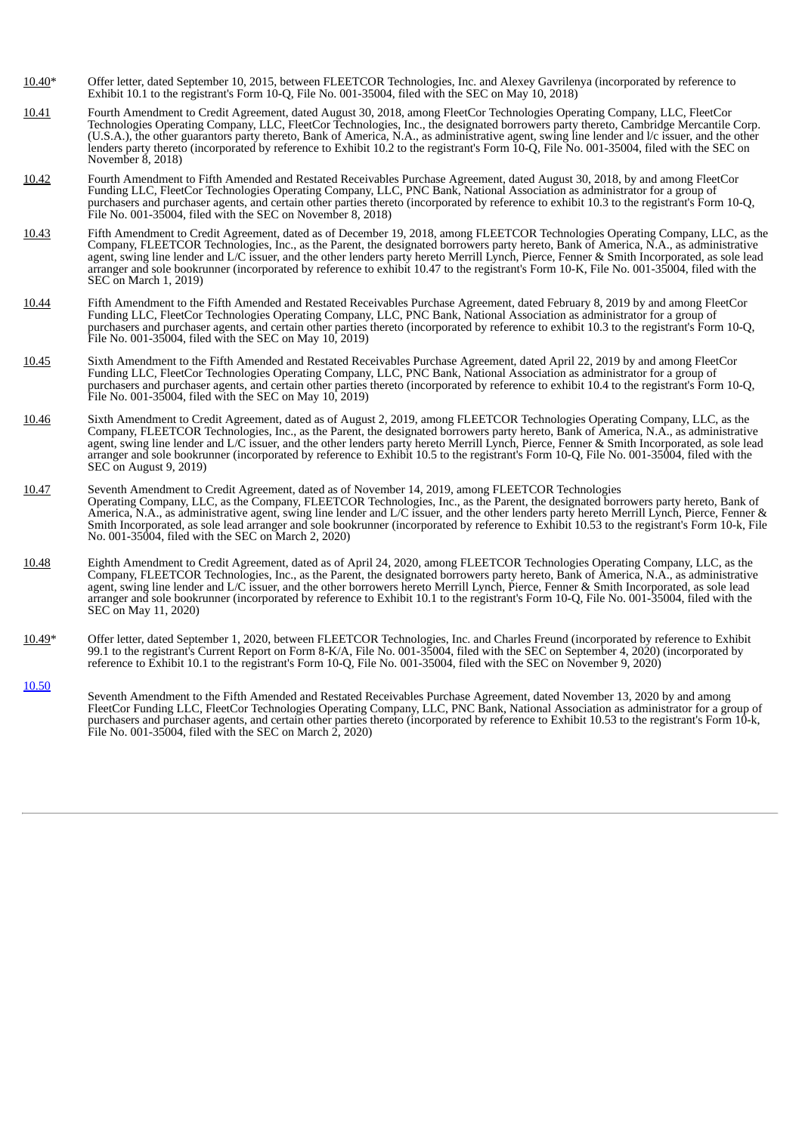- [10.40](http://www.sec.gov/Archives/edgar/data/1175454/000117545418000023/alexeygavrilenyaofferlette.htm)\* Offer letter, dated September 10, 2015, between FLEETCOR Technologies, Inc. and Alexey Gavrilenya (incorporated by reference to Exhibit 10.1 to the registrant's Form 10-Q, File No. 001-35004, filed with the SEC on May 10, 2018)
- [10.41](http://www.sec.gov/Archives/edgar/data/1175454/000117545418000032/fourthamendmenttocreditagre.htm) Fourth Amendment to Credit Agreement, dated August 30, 2018, among FleetCor Technologies Operating Company, LLC, FleetCor Technologies Operating Company, LLC, FleetCor Technologies, Inc., the designated borrowers party thereto, Cambridge Mercantile Corp. (U.S.A.), the other guarantors party thereto, Bank of America, N.A., as administrative agent, swing line lender and l/c issuer, and the other lenders party thereto (incorporated by reference to Exhibit 10.2 to the registrant's Form 10-Q, File No. 001-35004, filed with the SEC on November 8, 2018)
- [10.42](http://www.sec.gov/Archives/edgar/data/1175454/000117545418000032/fleetcorfourthamendmenttofi.htm) Fourth Amendment to Fifth Amended and Restated Receivables Purchase Agreement, dated August 30, 2018, by and among FleetCor Funding LLC, FleetCor Technologies Operating Company, LLC, PNC Bank, National Association as administrator for a group of purchasers and purchaser agents, and certain other parties thereto (incorporated by reference to exhibit 10.3 to the registrant's Form 10-Q, File No. 001-35004, filed with the SEC on November 8, 2018)
- [10.43](http://www.sec.gov/Archives/edgar/data/1175454/000117545419000004/fifthamendment-flt2.htm) Fifth Amendment to Credit Agreement, dated as of December 19, 2018, among FLEETCOR Technologies Operating Company, LLC, as the Company, FLEETCOR Technologies, Inc., as the Parent, the designated borrowers party hereto, Bank of America, N.A., as administrative agent, swing line lender and L/C issuer, and the other lenders party hereto Merrill Lynch, Pierce, Fenner & Smith Incorporated, as sole lead arranger and sole bookrunner (incorporated by reference to exhibit 10.47 to the registrant's Form 10-K, File No. 001-35004, filed with the SEC on March 1, 2019)
- [10.44](http://www.sec.gov/Archives/edgar/data/1175454/000117545419000017/fleetcor_-xfifthxamendment.htm) Fifth Amendment to the Fifth Amended and Restated Receivables Purchase Agreement, dated February 8, 2019 by and among FleetCor Funding LLC, FleetCor Technologies Operating Company, LLC, PNC Bank, National Association as administrator for a group of purchasers and purchaser agents, and certain other parties thereto (incorporated by reference to exhibit 10.3 to the registrant's Form 10-Q, File No. 001-35004, filed with the SEC on May 10, 2019)
- [10.45](http://www.sec.gov/Archives/edgar/data/1175454/000117545419000017/fleetcor-sixthamendmenttof.htm) Sixth Amendment to the Fifth Amended and Restated Receivables Purchase Agreement, dated April 22, 2019 by and among FleetCor Funding LLC, FleetCor Technologies Operating Company, LLC, PNC Bank, National Association as administrator for a group of purchasers and purchaser agents, and certain other parties thereto (incorporated by reference to exhibit 10.4 to the registrant's Form 10-Q, File No. 001-35004, filed with the SEC on May 10, 2019)
- [10.46](http://www.sec.gov/Archives/edgar/data/1175454/000162828019010570/fleetcorbaml-execution.htm) Sixth Amendment to Credit Agreement, dated as of August 2, 2019, among FLEETCOR Technologies Operating Company, LLC, as the Company, FLEETCOR Technologies, Inc., as the Parent, the designated borrowers party hereto, Bank of America, N.A., as administrative agent, swing line lender and L/C issuer, and the other lenders party hereto Merrill Lynch, Pierce, Fenner & Smith Incorporated, as sole lead arranger and sole bookrunner (incorporated by reference to Exhibit 10.5 to the registrant's Form 10-Q, File No. 001-35004, filed with the SEC on August 9, 2019)
- [10.47](http://www.sec.gov/Archives/edgar/data/1175454/000117545420000008/char1-1688978v2xsevent.htm) Seventh Amendment to Credit Agreement, dated as of November 14, 2019, among FLEETCOR Technologies Operating Company, LLC, as the Company, FLEETCOR Technologies, Inc., as the Parent, the designated borrowers party hereto, Bank of America, N.A., as administrative agent, swing line lender and L/C issuer, and the other lenders party hereto Merrill Lynch, Pierce, Fenner & Smith Incorporated, as sole lead arranger and sole bookrunner (incorporated by reference to Exhibit 10.53 to the registrant's Form 10-k, File No. 001-35004, filed with the SEC on March 2, 2020)
- [10.48](http://www.sec.gov/Archives/edgar/data/1175454/000117545420000020/exh101eighthamendment2.htm) Eighth Amendment to Credit Agreement, dated as of April 24, 2020, among FLEETCOR Technologies Operating Company, LLC, as the Company, FLEETCOR Technologies, Inc., as the Parent, the designated borrowers party hereto, Bank of America, N.A., as administrative agent, swing line lender and L/C issuer, and the other borrowers hereto Merrill Lynch, Pierce, Fenner & Smith Incorporated, as sole lead arranger and sole bookrunner (incorporated by reference to Exhibit 10.1 to the registrant's Form 10-Q, File No. 001-35004, filed with the SEC on May 11, 2020)
- [10.49](http://www.sec.gov/Archives/edgar/data/1175454/000117545420000038/charlesfreund2020compm.htm)<sup>\*</sup> Offer letter, dated September 1, 2020, between FLEETCOR Technologies, Inc. and Charles Freund (incorporated by reference to Exhibit 99.1 to the registrant's Current Report on Form 8-K/A, File No. 001-35004, filed with the SEC on September 4, 2020) (incorporated by reference to Exhibit 10.1 to the registrant's Form 10-Q, File No. 001-35004, filed with the SEC on November 9, 2020)
- [10.50](http://www.sec.gov/Archives/edgar/data/1175454/000117545421000022/seventhamendmenttofiftharr.htm) Seventh Amendment to the Fifth Amended and Restated Receivables Purchase Agreement, dated November 13, 2020 by and among FleetCor Funding LLC, FleetCor Technologies Operating Company, LLC, PNC Bank, National Association as administrator for a group of purchasers and purchaser agents, and certain other parties thereto (incorporated by reference to Exhibit 10.53 to the registrant's Form 10-k, File No. 001-35004, filed with the SEC on March  $2$ , 2020)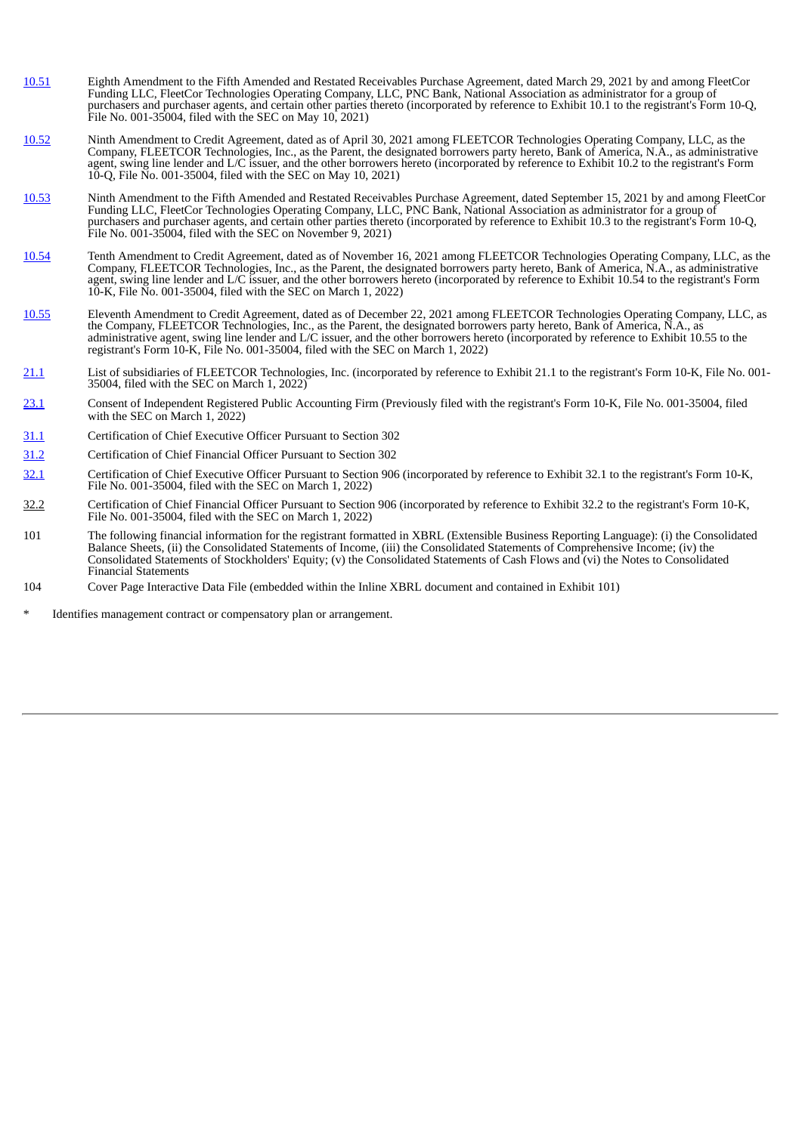- [10.51](http://www.sec.gov/Archives/edgar/data/0001175454/000117545421000028/fleetcor-eighthamendmentto.htm) Eighth Amendment to the Fifth Amended and Restated Receivables Purchase Agreement, dated March 29, 2021 by and among FleetCor Funding LLC, FleetCor Technologies Operating Company, LLC, PNC Bank, National Association as administrator for a group of purchasers and purchaser agents, and certain other parties thereto (incorporated by reference to Exhibit 10.1 to the registrant's Form 10-Q, File No. 001-35004, filed with the SEC on May 10, 2021)
- [10.52](http://www.sec.gov/Archives/edgar/data/0001175454/000117545421000028/fleetcorboa-9thamendmentto.htm) Ninth Amendment to Credit Agreement, dated as of April 30, 2021 among FLEETCOR Technologies Operating Company, LLC, as the Company, FLEETCOR Technologies, Inc., as the Parent, the designated borrowers party hereto, Bank of America, N.A., as administrative agent, swing line lender and L/C issuer, and the other borrowers hereto (incorporated by reference to Exhibit 10.2 to the registrant's Form 10-Q, File No. 001-35004, filed with the SEC on May 10, 2021)
- [10.53](http://www.sec.gov/Archives/edgar/data/0001175454/000117545421000047/exh103.htm) Ninth Amendment to the Fifth Amended and Restated Receivables Purchase Agreement, dated September 15, 2021 by and among FleetCor Funding LLC, FleetCor Technologies Operating Company, LLC, PNC Bank, National Association as administrator for a group of purchasers and purchaser agents, and certain other parties thereto (incorporated by reference to Exhibit 10.3 to the registrant's Form 10-Q, File No. 001-35004, filed with the SEC on November 9, 2021)
- [10.54](http://www.sec.gov/Archives/edgar/data/1175454/000162828022004531/exhibit1054executed10thame.htm) Tenth Amendment to Credit Agreement, dated as of November 16, 2021 among FLEETCOR Technologies Operating Company, LLC, as the Company, FLEETCOR Technologies, Inc., as the Parent, the designated borrowers party hereto, Bank of America, N.A., as administrative agent, swing line lender and L/C issuer, and the other borrowers hereto (incorporated by reference to Exhibit 10.54 to the registrant's Form 10-K, File No. 001-35004, filed with the SEC on March 1, 2022)
- [10.55](http://www.sec.gov/Archives/edgar/data/1175454/000162828022004531/exhibit1055executed11thame.htm) Eleventh Amendment to Credit Agreement, dated as of December 22, 2021 among FLEETCOR Technologies Operating Company, LLC, as the Company, FLEETCOR Technologies, Inc., as the Parent, the designated borrowers party hereto, Bank of America, N.A., as administrative agent, swing line lender and L/C issuer, and the other borrowers hereto (incorporated by reference to Exhibit 10.55 to the registrant's Form 10-K, File No. 001-35004, filed with the SEC on March 1, 2022)
- [21.1](http://www.sec.gov/Archives/edgar/data/1175454/000162828022004531/ex211subsidiarylisting1.htm) List of subsidiaries of FLEETCOR Technologies, Inc. (incorporated by reference to Exhibit 21.1 to the registrant's Form 10-K, File No. 001-35004, filed with the SEC on March 1, 2022)
- [23.1](http://www.sec.gov/Archives/edgar/data/1175454/000162828022004531/ex231eyconsentexhibit2021.htm) Consent of Independent Registered Public Accounting Firm (Previously filed with the registrant's Form 10-K, File No. 001-35004, filed with the SEC on March 1, 2022)
- [31.1](#page-8-0) Certification of Chief Executive Officer Pursuant to Section 302
- [31.2](#page-9-0) Certification of Chief Financial Officer Pursuant to Section 302
- [32.1](http://www.sec.gov/Archives/edgar/data/1175454/000162828022004531/ex321q42021.htm) Certification of Chief Executive Officer Pursuant to Section 906 (incorporated by reference to Exhibit 32.1 to the registrant's Form 10-K, File No. 001-35004, filed with the SEC on March 1, 2022)
- [32.2](http://www.sec.gov/Archives/edgar/data/1175454/000162828022004531/ex322q42021.htm) Certification of Chief Financial Officer Pursuant to Section 906 (incorporated by reference to Exhibit 32.2 to the registrant's Form 10-K, File No. 001-35004, filed with the SEC on March 1, 2022)
- 101 The following financial information for the registrant formatted in XBRL (Extensible Business Reporting Language): (i) the Consolidated Balance Sheets, (ii) the Consolidated Statements of Income, (iii) the Consolidated Statements of Comprehensive Income; (iv) the Consolidated Statements of Stockholders' Equity; (v) the Consolidated Statements of Cash Flows and (vi) the Notes to Consolidated Financial Statements
- 104 Cover Page Interactive Data File (embedded within the Inline XBRL document and contained in Exhibit 101)
- Identifies management contract or compensatory plan or arrangement.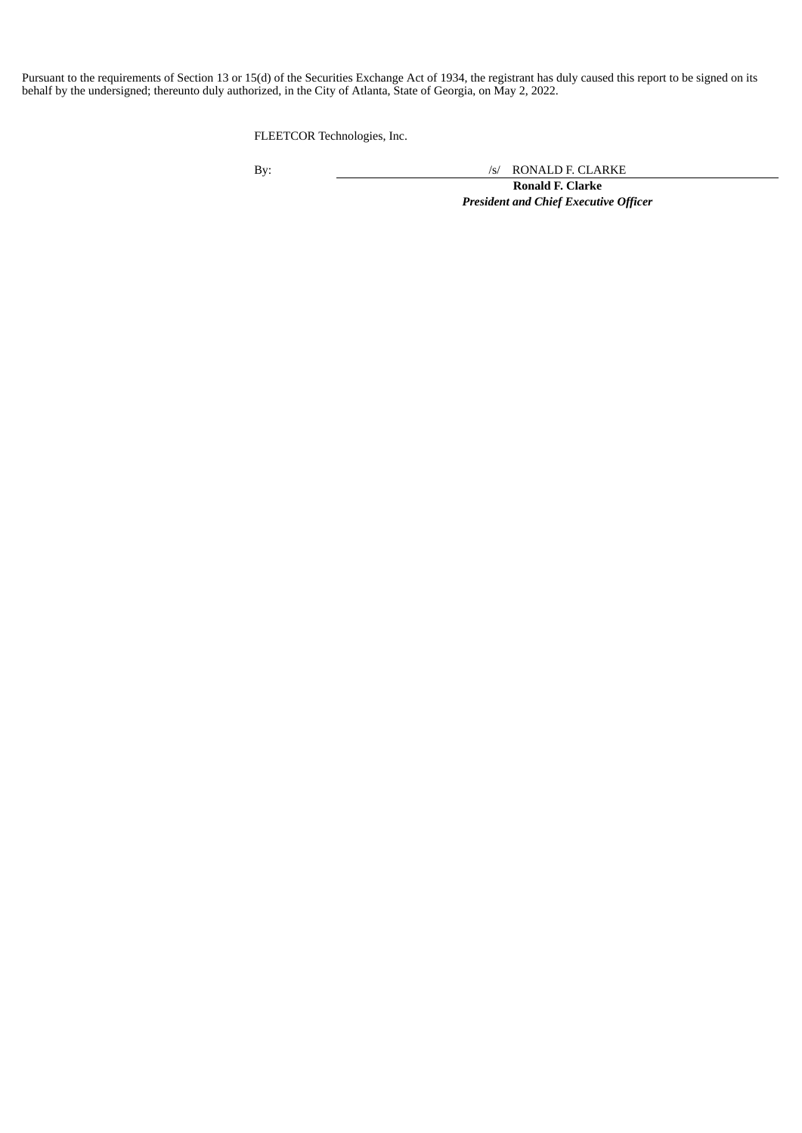Pursuant to the requirements of Section 13 or 15(d) of the Securities Exchange Act of 1934, the registrant has duly caused this report to be signed on its behalf by the undersigned; thereunto duly authorized, in the City of Atlanta, State of Georgia, on May 2, 2022.

FLEETCOR Technologies, Inc.

By: /s/ RONALD F. CLARKE

**Ronald F. Clarke** *President and Chief Executive Officer*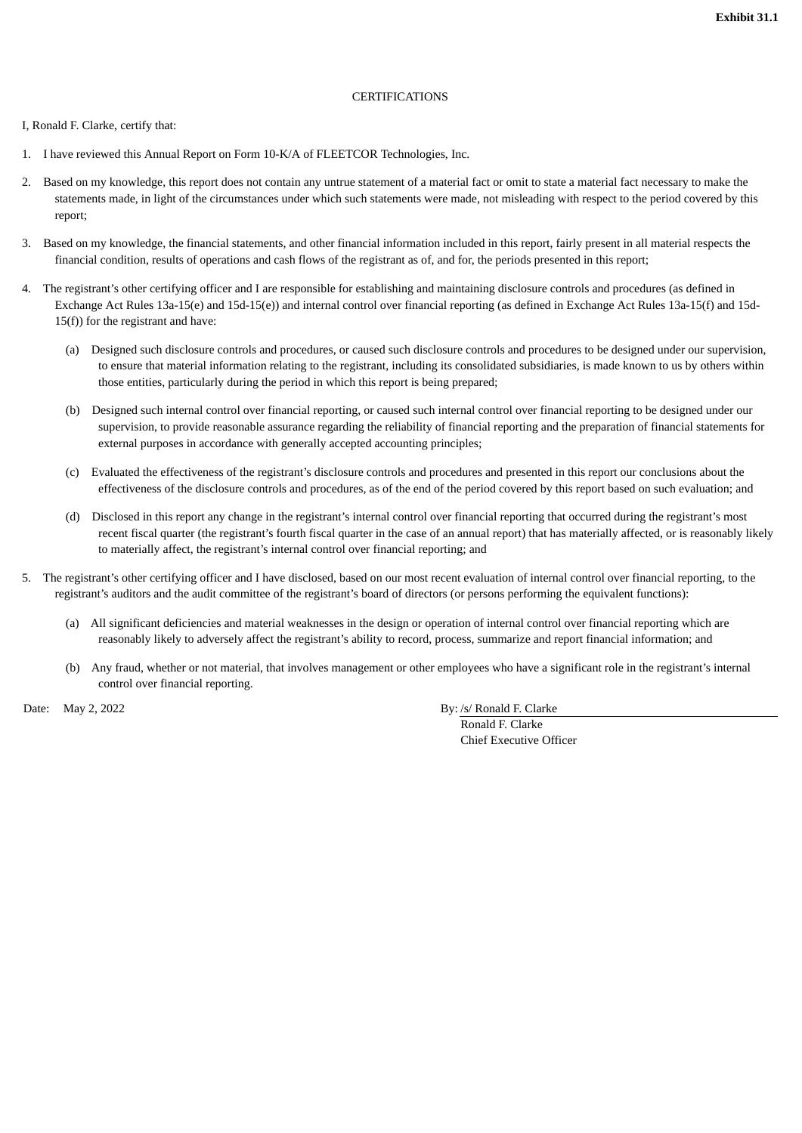#### CERTIFICATIONS

<span id="page-8-0"></span>I, Ronald F. Clarke, certify that:

- 1. I have reviewed this Annual Report on Form 10-K/A of FLEETCOR Technologies, Inc.
- 2. Based on my knowledge, this report does not contain any untrue statement of a material fact or omit to state a material fact necessary to make the statements made, in light of the circumstances under which such statements were made, not misleading with respect to the period covered by this report;
- 3. Based on my knowledge, the financial statements, and other financial information included in this report, fairly present in all material respects the financial condition, results of operations and cash flows of the registrant as of, and for, the periods presented in this report;
- 4. The registrant's other certifying officer and I are responsible for establishing and maintaining disclosure controls and procedures (as defined in Exchange Act Rules 13a-15(e) and 15d-15(e)) and internal control over financial reporting (as defined in Exchange Act Rules 13a-15(f) and 15d- $15(f)$ ) for the registrant and have:
	- (a) Designed such disclosure controls and procedures, or caused such disclosure controls and procedures to be designed under our supervision, to ensure that material information relating to the registrant, including its consolidated subsidiaries, is made known to us by others within those entities, particularly during the period in which this report is being prepared;
	- (b) Designed such internal control over financial reporting, or caused such internal control over financial reporting to be designed under our supervision, to provide reasonable assurance regarding the reliability of financial reporting and the preparation of financial statements for external purposes in accordance with generally accepted accounting principles;
	- (c) Evaluated the effectiveness of the registrant's disclosure controls and procedures and presented in this report our conclusions about the effectiveness of the disclosure controls and procedures, as of the end of the period covered by this report based on such evaluation; and
	- (d) Disclosed in this report any change in the registrant's internal control over financial reporting that occurred during the registrant's most recent fiscal quarter (the registrant's fourth fiscal quarter in the case of an annual report) that has materially affected, or is reasonably likely to materially affect, the registrant's internal control over financial reporting; and
- 5. The registrant's other certifying officer and I have disclosed, based on our most recent evaluation of internal control over financial reporting, to the registrant's auditors and the audit committee of the registrant's board of directors (or persons performing the equivalent functions):
	- (a) All significant deficiencies and material weaknesses in the design or operation of internal control over financial reporting which are reasonably likely to adversely affect the registrant's ability to record, process, summarize and report financial information; and
	- (b) Any fraud, whether or not material, that involves management or other employees who have a significant role in the registrant's internal control over financial reporting.

Date: May 2, 2022 By: /s/ Ronald F. Clarke

Ronald F. Clarke Chief Executive Officer